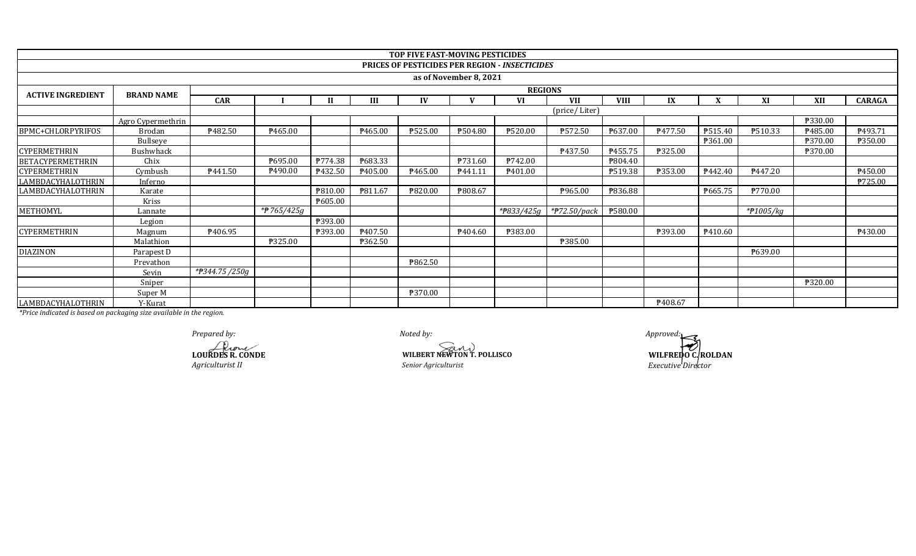|                          |                   |                            |                     |         |         | TOP FIVE FAST-MOVING PESTICIDES |                        |                                                |               |             |         |         |                      |         |               |  |
|--------------------------|-------------------|----------------------------|---------------------|---------|---------|---------------------------------|------------------------|------------------------------------------------|---------------|-------------|---------|---------|----------------------|---------|---------------|--|
|                          |                   |                            |                     |         |         |                                 |                        | PRICES OF PESTICIDES PER REGION - INSECTICIDES |               |             |         |         |                      |         |               |  |
|                          |                   |                            |                     |         |         |                                 | as of November 8, 2021 |                                                |               |             |         |         |                      |         |               |  |
| <b>ACTIVE INGREDIENT</b> | <b>BRAND NAME</b> |                            | <b>REGIONS</b>      |         |         |                                 |                        |                                                |               |             |         |         |                      |         |               |  |
|                          |                   | <b>CAR</b>                 |                     |         | III     | IV                              |                        | <b>VI</b>                                      | <b>VII</b>    | <b>VIII</b> | IX      |         | XI                   | XII     | <b>CARAGA</b> |  |
|                          |                   |                            |                     |         |         |                                 |                        |                                                | (price/Liter) |             |         |         |                      |         |               |  |
|                          | Agro Cypermethrin |                            |                     |         |         |                                 |                        |                                                |               |             |         |         |                      | P330.00 |               |  |
| <b>BPMC+CHLORPYRIFOS</b> | Brodan            | P482.50                    | P465.00             |         | P465.00 | ₱525.00                         | P504.80                | <b>P520.00</b>                                 | ₱572.50       | P637.00     | P477.50 | P515.40 | ₱510.33              | P485.00 | ₱493.71       |  |
|                          | Bullseye          |                            |                     |         |         |                                 |                        |                                                |               |             |         | ₱361.00 |                      | ₱370.00 | ₱350.00       |  |
| <b>CYPERMETHRIN</b>      | <b>Bushwhack</b>  |                            |                     |         |         |                                 |                        |                                                | P437.50       | P455.75     | ₱325.00 |         |                      | ₱370.00 |               |  |
| <b>BETACYPERMETHRIN</b>  | Chix              |                            | P695.00             | P774.38 | P683.33 |                                 | P731.60                | P742.00                                        |               | P804.40     |         |         |                      |         |               |  |
| <b>CYPERMETHRIN</b>      | Cymbush           | P441.50                    | P490.00             | P432.50 | P405.00 | ₱465.00                         | P441.11                | P401.00                                        |               | P519.38     | ₱353.00 | P442.40 | P447.20              |         | P450.00       |  |
| LAMBDACYHALOTHRIN        | Inferno           |                            |                     |         |         |                                 |                        |                                                |               |             |         |         |                      |         | ₱725.00       |  |
| LAMBDACYHALOTHRIN        | Karate            |                            |                     | P810.00 | P811.67 | ₱820.00                         | <b>\\$808.67</b>       |                                                | ₱965.00       | ₱836.88     |         | P665.75 | P770.00              |         |               |  |
|                          | Kriss             |                            |                     | P605.00 |         |                                 |                        |                                                |               |             |         |         |                      |         |               |  |
| METHOMYL                 | Lannate           |                            | * <b>P</b> 765/425g |         |         |                                 |                        | * $7833/425g$                                  | *#72.50/pack  | ₱580.00     |         |         | $*$ <b>P</b> 1005/kg |         |               |  |
|                          | Legion            |                            |                     | ₱393.00 |         |                                 |                        |                                                |               |             |         |         |                      |         |               |  |
| <b>CYPERMETHRIN</b>      | Magnum            | P406.95                    |                     | ₱393.00 | ₱407.50 |                                 | P404.60                | <b>P383.00</b>                                 |               |             | ₱393.00 | P410.60 |                      |         | P430.00       |  |
|                          | Malathion         |                            | ₱325.00             |         | P362.50 |                                 |                        |                                                | ₱385.00       |             |         |         |                      |         |               |  |
| <b>DIAZINON</b>          | Parapest D        |                            |                     |         |         |                                 |                        |                                                |               |             |         |         | P639.00              |         |               |  |
|                          | Prevathon         |                            |                     |         |         | ₱862.50                         |                        |                                                |               |             |         |         |                      |         |               |  |
|                          | Sevin             | * <del>P</del> 344.75/250g |                     |         |         |                                 |                        |                                                |               |             |         |         |                      |         |               |  |
|                          | Sniper            |                            |                     |         |         |                                 |                        |                                                |               |             |         |         |                      | ₱320.00 |               |  |
|                          | Super M           |                            |                     |         |         | ₱370.00                         |                        |                                                |               |             |         |         |                      |         |               |  |
| LAMBDACYHALOTHRIN        | Y-Kurat           |                            |                     |         |         |                                 |                        |                                                |               |             | ₱408.67 |         |                      |         |               |  |

**LOURDES R. CONDE** *Agriculturist II*

*Noted by:* **WILBERT NEWTON T. POLLISCO WILFREDO C, ROLDAN** *Senior Agriculturist Executive Director Prepared by: Approved:*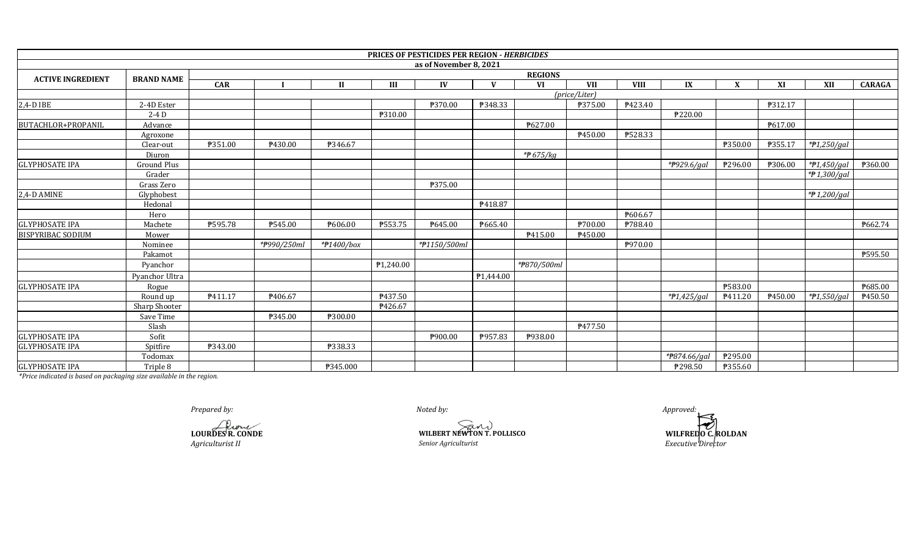|                          |                    |         |                |            |           | PRICES OF PESTICIDES PER REGION - HERBICIDES |              |             |               |             |                     |         |         |               |               |  |
|--------------------------|--------------------|---------|----------------|------------|-----------|----------------------------------------------|--------------|-------------|---------------|-------------|---------------------|---------|---------|---------------|---------------|--|
|                          |                    |         |                |            |           | as of November 8, 2021                       |              |             |               |             |                     |         |         |               |               |  |
| <b>ACTIVE INGREDIENT</b> | <b>BRAND NAME</b>  |         | <b>REGIONS</b> |            |           |                                              |              |             |               |             |                     |         |         |               |               |  |
|                          |                    | CAR     |                | Н          | III       | IV                                           | $\mathbf{V}$ | <b>VI</b>   | <b>VII</b>    | <b>VIII</b> | IX                  | X       | XI      | <b>XII</b>    | <b>CARAGA</b> |  |
|                          |                    |         |                |            |           |                                              |              |             | (price/Liter) |             |                     |         |         |               |               |  |
| 2,4-D IBE                | 2-4D Ester         |         |                |            |           | ₱370.00                                      | ₱348.33      |             | ₱375.00       | P423.40     |                     |         | P312.17 |               |               |  |
|                          | $2-4D$             |         |                |            | ₱310.00   |                                              |              |             |               |             | $\frac{1}{2220.00}$ |         |         |               |               |  |
| BUTACHLOR+PROPANIL       | Advance            |         |                |            |           |                                              |              | ₱627.00     |               |             |                     |         | P617.00 |               |               |  |
|                          | Agroxone           |         |                |            |           |                                              |              |             | ₱450.00       | ₱528.33     |                     |         |         |               |               |  |
|                          | Clear-out          | P351.00 | ₱430.00        | ₱346.67    |           |                                              |              |             |               |             |                     | ₱350.00 | ₱355.17 | *#1,250/gal   |               |  |
|                          | Diuron             |         |                |            |           |                                              |              | *#675/kg    |               |             |                     |         |         |               |               |  |
| <b>GLYPHOSATE IPA</b>    | <b>Ground Plus</b> |         |                |            |           |                                              |              |             |               |             | *P929.6/gal         | ₱296.00 | ₱306.00 | $*P1,450/gal$ | ₱360.00       |  |
|                          | Grader             |         |                |            |           |                                              |              |             |               |             |                     |         |         | *₱1,300/gal   |               |  |
|                          | Grass Zero         |         |                |            |           | ₱375.00                                      |              |             |               |             |                     |         |         |               |               |  |
| 2,4-D AMINE              | Glyphobest         |         |                |            |           |                                              |              |             |               |             |                     |         |         | *P 1,200/gal  |               |  |
|                          | Hedonal            |         |                |            |           |                                              | ₱418.87      |             |               |             |                     |         |         |               |               |  |
|                          | Hero               |         |                |            |           |                                              |              |             |               | P606.67     |                     |         |         |               |               |  |
| <b>GLYPHOSATE IPA</b>    | Machete            | ₱595.78 | P545.00        | ₹606.00    | P553.75   | ₱645.00                                      | ₱665.40      |             | ₱700.00       | P788.40     |                     |         |         |               | ₱662.74       |  |
| <b>BISPYRIBAC SODIUM</b> | Mower              |         |                |            |           |                                              |              | P415.00     | ₱450.00       |             |                     |         |         |               |               |  |
|                          | Nominee            |         | *#990/250ml    | *#1400/box |           | *#1150/500ml                                 |              |             |               | P970.00     |                     |         |         |               |               |  |
|                          | Pakamot            |         |                |            |           |                                              |              |             |               |             |                     |         |         |               | ₱595.50       |  |
|                          | Pyanchor           |         |                |            | ₱1,240.00 |                                              |              | *#870/500ml |               |             |                     |         |         |               |               |  |
|                          | Pyanchor Ultra     |         |                |            |           |                                              | P1,444.00    |             |               |             |                     |         |         |               |               |  |
| <b>GLYPHOSATE IPA</b>    | Rogue              |         |                |            |           |                                              |              |             |               |             |                     | ₱583.00 |         |               | ₱685.00       |  |
|                          | Round up           | P411.17 | ₱406.67        |            | P437.50   |                                              |              |             |               |             | $*P1,425/gal$       | P411.20 | ₱450.00 | $*P1,550/gal$ | ₱450.50       |  |
|                          | Sharp Shooter      |         |                |            | P426.67   |                                              |              |             |               |             |                     |         |         |               |               |  |
|                          | Save Time          |         | ₱345.00        | ₱300.00    |           |                                              |              |             |               |             |                     |         |         |               |               |  |
|                          | Slash              |         |                |            |           |                                              |              |             | P477.50       |             |                     |         |         |               |               |  |
| <b>GLYPHOSATE IPA</b>    | Sofit              |         |                |            |           | ₱900.00                                      | ₱957.83      | P938.00     |               |             |                     |         |         |               |               |  |
| <b>GLYPHOSATE IPA</b>    | Spitfire           | ₱343.00 |                | ₱338.33    |           |                                              |              |             |               |             |                     |         |         |               |               |  |
|                          | Todomax            |         |                |            |           |                                              |              |             |               |             | *P874.66/gal        | ₱295.00 |         |               |               |  |
| <b>GLYPHOSATE IPA</b>    | Triple 8           |         |                | ₱345.000   |           |                                              |              |             |               |             | ₱298.50             | P355.60 |         |               |               |  |

*Prepared by: Approved:*

**LOURDES R. CONDE** *Agriculturist II*

**WILBERT NEWTON T. POLLISCO**<br> *Senior Agriculturist* 

*Noted by:*

**WILFREDO C.ROLDAN**<br>*Executive Director*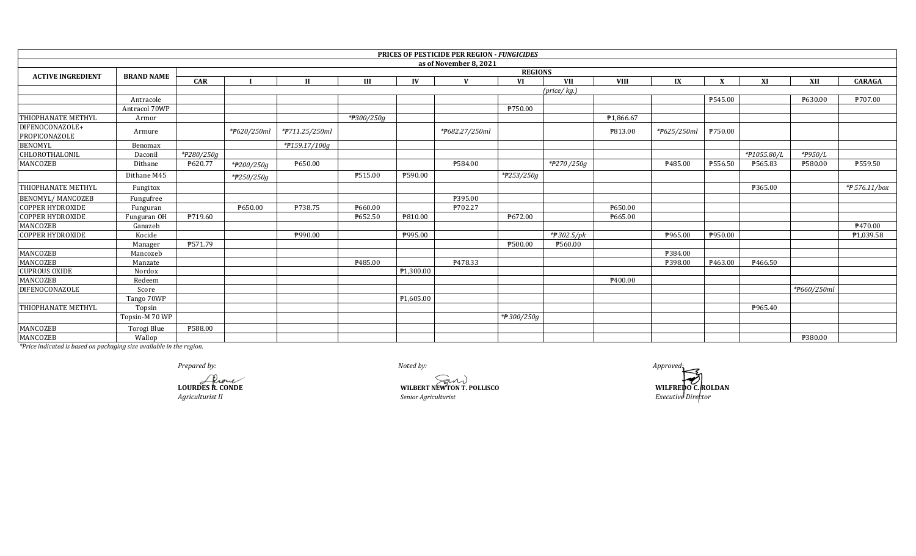|                                  |                   |              |                |                |            | <b>PRICES OF PESTICIDE PER REGION - FUNGICIDES</b> |            |             |                |             |         |             |             |               |  |  |
|----------------------------------|-------------------|--------------|----------------|----------------|------------|----------------------------------------------------|------------|-------------|----------------|-------------|---------|-------------|-------------|---------------|--|--|
|                                  |                   |              |                |                |            | as of November 8, 2021                             |            |             |                |             |         |             |             |               |  |  |
| <b>ACTIVE INGREDIENT</b>         | <b>BRAND NAME</b> |              | <b>REGIONS</b> |                |            |                                                    |            |             |                |             |         |             |             |               |  |  |
|                                  |                   | CAR          |                | $\mathbf{H}$   | III        | IV<br>$\mathbf{V}$                                 | VI         | <b>VII</b>  | <b>VIII</b>    | IX          | X       | XI          | XII         | <b>CARAGA</b> |  |  |
|                                  |                   |              |                |                |            |                                                    |            | (price/kg.) |                |             |         |             |             |               |  |  |
|                                  | Antracole         |              |                |                |            |                                                    |            |             |                |             | P545.00 |             | P630.00     | P707.00       |  |  |
|                                  | Antracol 70WP     |              |                |                |            |                                                    | P750.00    |             |                |             |         |             |             |               |  |  |
| THIOPHANATE METHYL               | Armor             |              |                |                | *#300/250g |                                                    |            |             | P1,866.67      |             |         |             |             |               |  |  |
| DIFENOCONAZOLE+<br>PROPICONAZOLE | Armure            |              | *P620/250ml    | *#711.25/250ml |            | *#682.27/250ml                                     |            |             | <b>P813.00</b> | *P625/250ml | P750.00 |             |             |               |  |  |
| <b>BENOMYL</b>                   | Benomax           |              |                | *#159.17/100g  |            |                                                    |            |             |                |             |         |             |             |               |  |  |
| CHLOROTHALONIL                   | Daconi            | $*P280/250q$ |                |                |            |                                                    |            |             |                |             |         | *#1055.80/L | *P950/L     |               |  |  |
| MANCOZEB                         | Dithane           | P620.77      | *#200/250g     | P650.00        |            | ₱584.00                                            |            | *P270/250g  |                | P485.00     | P556.50 | ₱565.83     | ₱580.00     | ₱559.50       |  |  |
|                                  | Dithane M45       |              | *P250/250g     |                | ₱515.00    | ₱590.00                                            | *#253/250g |             |                |             |         |             |             |               |  |  |
| THIOPHANATE METHYL               | Fungitox          |              |                |                |            |                                                    |            |             |                |             |         | ₹365.00     |             | *# 576.11/box |  |  |
| <b>BENOMYL/MANCOZEB</b>          | Fungufree         |              |                |                |            | ₱395.00                                            |            |             |                |             |         |             |             |               |  |  |
| <b>COPPER HYDROXIDE</b>          | Funguran          |              | ₱650.00        | ₱738.75        | ₹660.00    | ₱702.27                                            |            |             | ₱650.00        |             |         |             |             |               |  |  |
| <b>COPPER HYDROXIDE</b>          | Funguran OH       | P719.60      |                |                | ₱652.50    | P810.00                                            | P672.00    |             | P665.00        |             |         |             |             |               |  |  |
| MANCOZEB                         | Ganazeb           |              |                |                |            |                                                    |            |             |                |             |         |             |             | P470.00       |  |  |
| <b>COPPER HYDROXIDE</b>          | Kocide            |              |                | ₱990.00        |            | ₱995.00                                            |            | *#302.5/pk  |                | ₱965.00     | P950.00 |             |             | P1,039.58     |  |  |
|                                  | Manager           | P571.79      |                |                |            |                                                    | ₱500.00    | ₱560.00     |                |             |         |             |             |               |  |  |
| <b>MANCOZEB</b>                  | Mancozeb          |              |                |                |            |                                                    |            |             |                | ₱384.00     |         |             |             |               |  |  |
| MANCOZEB                         | Manzate           |              |                |                | ₹485.00    | P478.33                                            |            |             |                | ₱398.00     | ₹463.00 | P466.50     |             |               |  |  |
| <b>CUPROUS OXIDE</b>             | Nordox            |              |                |                |            | P1,300.00                                          |            |             |                |             |         |             |             |               |  |  |
| MANCOZEB                         | Redeem            |              |                |                |            |                                                    |            |             | P400.00        |             |         |             |             |               |  |  |
| <b>DIFENOCONAZOLE</b>            | Score             |              |                |                |            |                                                    |            |             |                |             |         |             | *#660/250ml |               |  |  |
|                                  | Tango 70WP        |              |                |                |            | ₱1,605.00                                          |            |             |                |             |         |             |             |               |  |  |
| THIOPHANATE METHYL               | Topsin            |              |                |                |            |                                                    |            |             |                |             |         | P965.40     |             |               |  |  |
|                                  | Topsin-M 70 WP    |              |                |                |            |                                                    | *#300/250g |             |                |             |         |             |             |               |  |  |
| MANCOZEB                         | Torogi Blue       | ₱588.00      |                |                |            |                                                    |            |             |                |             |         |             |             |               |  |  |
| MANCOZEB                         | Wallop            |              |                |                |            |                                                    |            |             |                |             |         |             | ₱380.00     |               |  |  |

Prepared by:

LOURDES R. CONDE Agriculturist II

WILBERT NEWTON T. POLLISCO Senior Agriculturist

Noted by:

 $\it{A}$ pproved: WILFREDO C. ROLDAN<br>Executive Director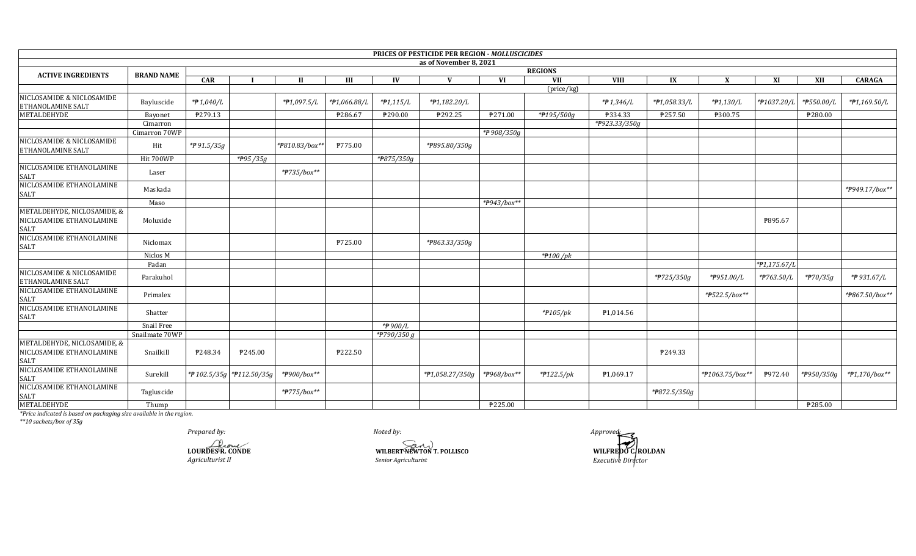|                                                                        |                   |              |                            |                |              |                           | <b>PRICES OF PESTICIDE PER REGION - MOLLUSCICIDES</b> |             |                |               |              |                   |              |            |                |
|------------------------------------------------------------------------|-------------------|--------------|----------------------------|----------------|--------------|---------------------------|-------------------------------------------------------|-------------|----------------|---------------|--------------|-------------------|--------------|------------|----------------|
|                                                                        |                   |              |                            |                |              |                           | as of November 8, 2021                                |             |                |               |              |                   |              |            |                |
| <b>ACTIVE INGREDIENTS</b>                                              | <b>BRAND NAME</b> |              |                            |                |              |                           |                                                       |             | <b>REGIONS</b> |               |              |                   |              |            |                |
|                                                                        |                   | <b>CAR</b>   |                            | $\mathbf{I}$   | Ш            | IV                        | $\mathbf{V}$                                          | <b>VI</b>   | <b>VII</b>     | <b>VIII</b>   | IX           | X                 | XI           | XII        | <b>CARAGA</b>  |
| NICLOSAMIDE & NICLOSAMIDE<br>ETHANOLAMINE SALT                         | Bayluscide        | *P 1,040/L   |                            | *#1,097.5/L    | *#1,066.88/L | $*P1,115/L$               | *#1,182.20/L                                          |             | (price/kg)     | $*$ # 1,346/L | *#1,058.33/L | $*P1,130/L$       | *#1037.20/L  | *P550.00/L | *#1,169.50/L   |
| METALDEHYDE                                                            | Bayonet           | P279.13      |                            |                | P286.67      | ₱290.00                   | ₱292.25                                               | P271.00     | *#195/500g     | P334.33       | P257.50      | ₱300.75           |              | P280.00    |                |
|                                                                        | Cimarron          |              |                            |                |              |                           |                                                       |             |                | *P923.33/350g |              |                   |              |            |                |
|                                                                        | Cimarron 70WP     |              |                            |                |              |                           |                                                       | *₱908/350g  |                |               |              |                   |              |            |                |
| NICLOSAMIDE & NICLOSAMIDE<br>ETHANOLAMINE SALT                         | Hit               | $*$ 91.5/35g |                            | *P810.83/box** | P775.00      |                           | *P895.80/350g                                         |             |                |               |              |                   |              |            |                |
|                                                                        | Hit 700WP         |              | $\overline{7995}/35g$      |                |              | $*$ <del>P</del> 875/350g |                                                       |             |                |               |              |                   |              |            |                |
| NICLOSAMIDE ETHANOLAMINE<br><b>SALT</b>                                | Laser             |              |                            | *#735/box**    |              |                           |                                                       |             |                |               |              |                   |              |            |                |
| NICLOSAMIDE ETHANOLAMINE<br>SALT                                       | Maskada           |              |                            |                |              |                           |                                                       |             |                |               |              |                   |              |            | *P949.17/box** |
|                                                                        | Maso              |              |                            |                |              |                           |                                                       | *P943/box** |                |               |              |                   |              |            |                |
| METALDEHYDE, NICLOSAMIDE, &<br>NICLOSAMIDE ETHANOLAMINE<br><b>SALT</b> | Moluxide          |              |                            |                |              |                           |                                                       |             |                |               |              |                   | P895.67      |            |                |
| NICLOSAMIDE ETHANOLAMINE<br>SALT                                       | Niclomax          |              |                            |                | P725.00      |                           | *P863.33/350g                                         |             |                |               |              |                   |              |            |                |
|                                                                        | Niclos M          |              |                            |                |              |                           |                                                       |             | $*$ 100 /pk    |               |              |                   |              |            |                |
|                                                                        | Padan             |              |                            |                |              |                           |                                                       |             |                |               |              |                   | *P1,175.67/L |            |                |
| NICLOSAMIDE & NICLOSAMIDE<br>ETHANOLAMINE SALT                         | Parakuhol         |              |                            |                |              |                           |                                                       |             |                |               | *#725/350g   | *P951.00/L        | *#763.50/L   | *#70/35g   | *#931.67/L     |
| NICLOSAMIDE ETHANOLAMINE<br><b>SALT</b>                                | Primalex          |              |                            |                |              |                           |                                                       |             |                |               |              | * $7522.5$ /box** |              |            | *P867.50/box** |
| NICLOSAMIDE ETHANOLAMINE<br><b>SALT</b>                                | Shatter           |              |                            |                |              |                           |                                                       |             | $*$ $P105$ /pk | P1,014.56     |              |                   |              |            |                |
|                                                                        | Snail Free        |              |                            |                |              | *P900/L                   |                                                       |             |                |               |              |                   |              |            |                |
|                                                                        | Snailmate 70WP    |              |                            |                |              | *#790/350 g               |                                                       |             |                |               |              |                   |              |            |                |
| METALDEHYDE, NICLOSAMIDE, &<br>NICLOSAMIDE ETHANOLAMINE<br><b>SALT</b> | Snailkill         | P248.34      | ₱245.00                    |                | ₱222.50      |                           |                                                       |             |                |               | P249.33      |                   |              |            |                |
| NICLOSAMIDE ETHANOLAMINE<br><b>SALT</b>                                | Surekill          |              | *# 102.5/35g *# 112.50/35g | *#900/box**    |              |                           | *#1,058.27/350g                                       | *#968/box** | *#122.5/pk     | P1,069.17     |              | *#1063.75/box**   | P972.40      | *P950/350g | *P1,170/box**  |
| NICLOSAMIDE ETHANOLAMINE<br><b>SALT</b>                                | Tagluscide        |              |                            | *#775/box**    |              |                           |                                                       |             |                |               | *#872.5/350g |                   |              |            |                |
| METALDEHYDE                                                            | Thump             |              |                            |                |              |                           |                                                       | ₱225.00     |                |               |              |                   |              | ₱285.00    |                |

*\*\*10 sachets/box of 35g*

*Prepared by: Approved:*

*Noted by:*

**LOURDES R. CONDE**<br> **LOURDES R. CONDE**<br> *Agriculturist II* Senior Agriculturist *Agriculturist II Senior Agriculturist*

**WILFREDO C. ROLDAN** *Executive Director*